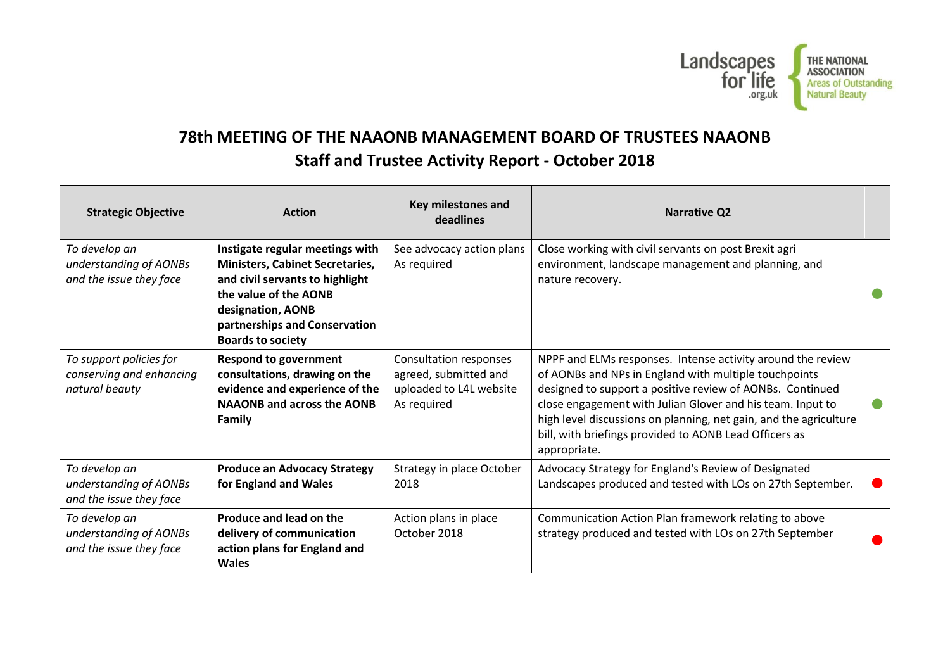

## **78th MEETING OF THE NAAONB MANAGEMENT BOARD OF TRUSTEES NAAONB Staff and Trustee Activity Report - October 2018**

| <b>Strategic Objective</b>                                            | <b>Action</b>                                                                                                                                                                                                           | Key milestones and<br>deadlines                                                           | <b>Narrative Q2</b>                                                                                                                                                                                                                                                                                                                                                                            |  |
|-----------------------------------------------------------------------|-------------------------------------------------------------------------------------------------------------------------------------------------------------------------------------------------------------------------|-------------------------------------------------------------------------------------------|------------------------------------------------------------------------------------------------------------------------------------------------------------------------------------------------------------------------------------------------------------------------------------------------------------------------------------------------------------------------------------------------|--|
| To develop an<br>understanding of AONBs<br>and the issue they face    | Instigate regular meetings with<br><b>Ministers, Cabinet Secretaries,</b><br>and civil servants to highlight<br>the value of the AONB<br>designation, AONB<br>partnerships and Conservation<br><b>Boards to society</b> | See advocacy action plans<br>As required                                                  | Close working with civil servants on post Brexit agri<br>environment, landscape management and planning, and<br>nature recovery.                                                                                                                                                                                                                                                               |  |
| To support policies for<br>conserving and enhancing<br>natural beauty | <b>Respond to government</b><br>consultations, drawing on the<br>evidence and experience of the<br><b>NAAONB and across the AONB</b><br>Family                                                                          | Consultation responses<br>agreed, submitted and<br>uploaded to L4L website<br>As required | NPPF and ELMs responses. Intense activity around the review<br>of AONBs and NPs in England with multiple touchpoints<br>designed to support a positive review of AONBs. Continued<br>close engagement with Julian Glover and his team. Input to<br>high level discussions on planning, net gain, and the agriculture<br>bill, with briefings provided to AONB Lead Officers as<br>appropriate. |  |
| To develop an<br>understanding of AONBs<br>and the issue they face    | <b>Produce an Advocacy Strategy</b><br>for England and Wales                                                                                                                                                            | Strategy in place October<br>2018                                                         | Advocacy Strategy for England's Review of Designated<br>Landscapes produced and tested with LOs on 27th September.                                                                                                                                                                                                                                                                             |  |
| To develop an<br>understanding of AONBs<br>and the issue they face    | Produce and lead on the<br>delivery of communication<br>action plans for England and<br><b>Wales</b>                                                                                                                    | Action plans in place<br>October 2018                                                     | Communication Action Plan framework relating to above<br>strategy produced and tested with LOs on 27th September                                                                                                                                                                                                                                                                               |  |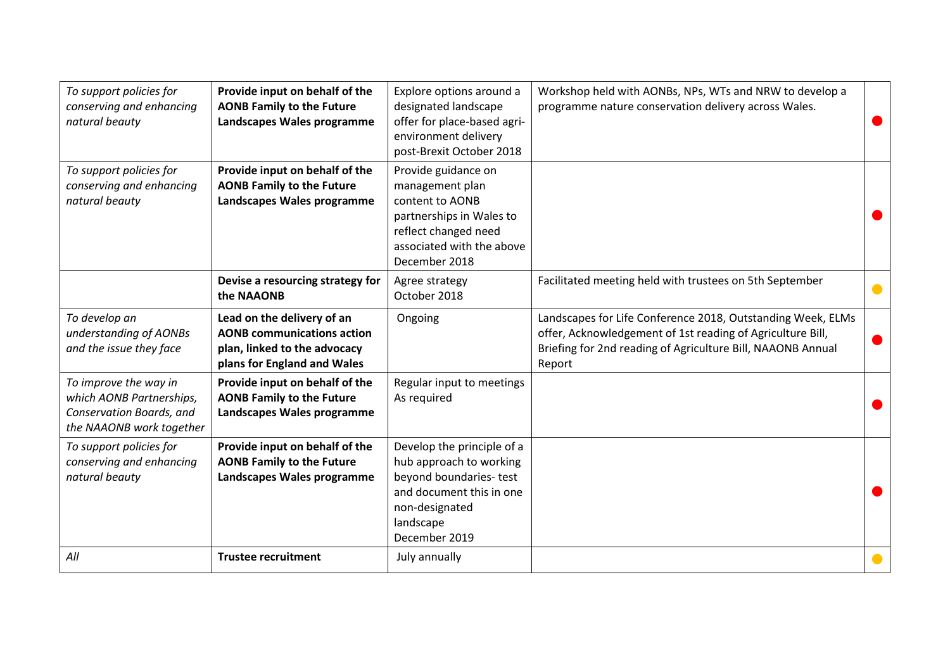| To support policies for<br>conserving and enhancing<br>natural beauty                                     | Provide input on behalf of the<br><b>AONB Family to the Future</b><br>Landscapes Wales programme                               | Explore options around a<br>designated landscape<br>offer for place-based agri-<br>environment delivery<br>post-Brexit October 2018                         | Workshop held with AONBs, NPs, WTs and NRW to develop a<br>programme nature conservation delivery across Wales.                                                                                    |  |
|-----------------------------------------------------------------------------------------------------------|--------------------------------------------------------------------------------------------------------------------------------|-------------------------------------------------------------------------------------------------------------------------------------------------------------|----------------------------------------------------------------------------------------------------------------------------------------------------------------------------------------------------|--|
| To support policies for<br>conserving and enhancing<br>natural beauty                                     | Provide input on behalf of the<br><b>AONB Family to the Future</b><br>Landscapes Wales programme                               | Provide guidance on<br>management plan<br>content to AONB<br>partnerships in Wales to<br>reflect changed need<br>associated with the above<br>December 2018 |                                                                                                                                                                                                    |  |
|                                                                                                           | Devise a resourcing strategy for<br>the NAAONB                                                                                 | Agree strategy<br>October 2018                                                                                                                              | Facilitated meeting held with trustees on 5th September                                                                                                                                            |  |
| To develop an<br>understanding of AONBs<br>and the issue they face                                        | Lead on the delivery of an<br><b>AONB communications action</b><br>plan, linked to the advocacy<br>plans for England and Wales | Ongoing                                                                                                                                                     | Landscapes for Life Conference 2018, Outstanding Week, ELMs<br>offer, Acknowledgement of 1st reading of Agriculture Bill,<br>Briefing for 2nd reading of Agriculture Bill, NAAONB Annual<br>Report |  |
| To improve the way in<br>which AONB Partnerships,<br>Conservation Boards, and<br>the NAAONB work together | Provide input on behalf of the<br><b>AONB Family to the Future</b><br>Landscapes Wales programme                               | Regular input to meetings<br>As required                                                                                                                    |                                                                                                                                                                                                    |  |
| To support policies for<br>conserving and enhancing<br>natural beauty                                     | Provide input on behalf of the<br><b>AONB Family to the Future</b><br>Landscapes Wales programme                               | Develop the principle of a<br>hub approach to working<br>beyond boundaries-test<br>and document this in one<br>non-designated<br>landscape<br>December 2019 |                                                                                                                                                                                                    |  |
| All                                                                                                       | <b>Trustee recruitment</b>                                                                                                     | July annually                                                                                                                                               |                                                                                                                                                                                                    |  |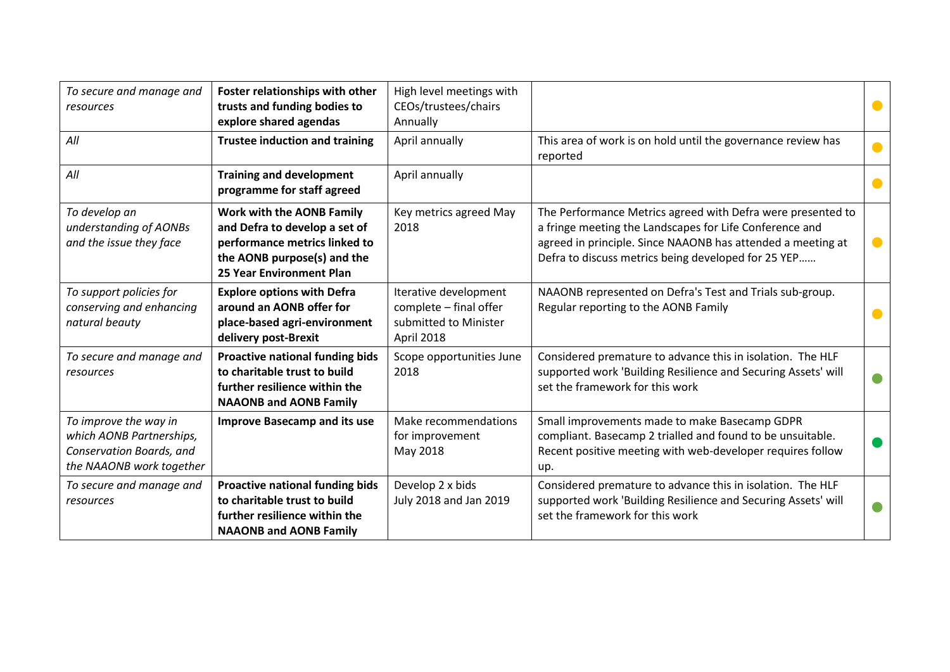| To secure and manage and<br>resources                                                                     | Foster relationships with other<br>trusts and funding bodies to<br>explore shared agendas                                                                     | High level meetings with<br>CEOs/trustees/chairs<br>Annually                           |                                                                                                                                                                                                                                              |                |
|-----------------------------------------------------------------------------------------------------------|---------------------------------------------------------------------------------------------------------------------------------------------------------------|----------------------------------------------------------------------------------------|----------------------------------------------------------------------------------------------------------------------------------------------------------------------------------------------------------------------------------------------|----------------|
| All                                                                                                       | <b>Trustee induction and training</b>                                                                                                                         | April annually                                                                         | This area of work is on hold until the governance review has<br>reported                                                                                                                                                                     |                |
| All                                                                                                       | <b>Training and development</b><br>programme for staff agreed                                                                                                 | April annually                                                                         |                                                                                                                                                                                                                                              |                |
| To develop an<br>understanding of AONBs<br>and the issue they face                                        | Work with the AONB Family<br>and Defra to develop a set of<br>performance metrics linked to<br>the AONB purpose(s) and the<br><b>25 Year Environment Plan</b> | Key metrics agreed May<br>2018                                                         | The Performance Metrics agreed with Defra were presented to<br>a fringe meeting the Landscapes for Life Conference and<br>agreed in principle. Since NAAONB has attended a meeting at<br>Defra to discuss metrics being developed for 25 YEP | $\blacksquare$ |
| To support policies for<br>conserving and enhancing<br>natural beauty                                     | <b>Explore options with Defra</b><br>around an AONB offer for<br>place-based agri-environment<br>delivery post-Brexit                                         | Iterative development<br>complete - final offer<br>submitted to Minister<br>April 2018 | NAAONB represented on Defra's Test and Trials sub-group.<br>Regular reporting to the AONB Family                                                                                                                                             |                |
| To secure and manage and<br>resources                                                                     | Proactive national funding bids<br>to charitable trust to build<br>further resilience within the<br><b>NAAONB and AONB Family</b>                             | Scope opportunities June<br>2018                                                       | Considered premature to advance this in isolation. The HLF<br>supported work 'Building Resilience and Securing Assets' will<br>set the framework for this work                                                                               |                |
| To improve the way in<br>which AONB Partnerships,<br>Conservation Boards, and<br>the NAAONB work together | <b>Improve Basecamp and its use</b>                                                                                                                           | Make recommendations<br>for improvement<br>May 2018                                    | Small improvements made to make Basecamp GDPR<br>compliant. Basecamp 2 trialled and found to be unsuitable.<br>Recent positive meeting with web-developer requires follow<br>up.                                                             |                |
| To secure and manage and<br>resources                                                                     | <b>Proactive national funding bids</b><br>to charitable trust to build<br>further resilience within the<br><b>NAAONB and AONB Family</b>                      | Develop 2 x bids<br>July 2018 and Jan 2019                                             | Considered premature to advance this in isolation. The HLF<br>supported work 'Building Resilience and Securing Assets' will<br>set the framework for this work                                                                               |                |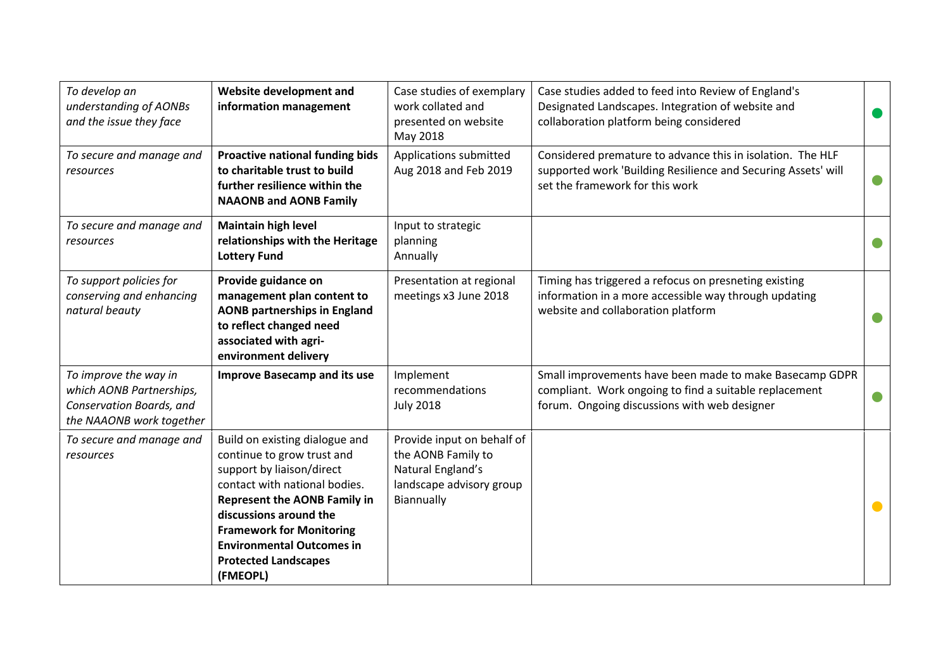| To develop an<br>understanding of AONBs<br>and the issue they face                                        | Website development and<br>information management                                                                                                                                                                                                                                                             | Case studies of exemplary<br>work collated and<br>presented on website<br>May 2018                              | Case studies added to feed into Review of England's<br>Designated Landscapes. Integration of website and<br>collaboration platform being considered               |  |
|-----------------------------------------------------------------------------------------------------------|---------------------------------------------------------------------------------------------------------------------------------------------------------------------------------------------------------------------------------------------------------------------------------------------------------------|-----------------------------------------------------------------------------------------------------------------|-------------------------------------------------------------------------------------------------------------------------------------------------------------------|--|
| To secure and manage and<br>resources                                                                     | <b>Proactive national funding bids</b><br>to charitable trust to build<br>further resilience within the<br><b>NAAONB and AONB Family</b>                                                                                                                                                                      | Applications submitted<br>Aug 2018 and Feb 2019                                                                 | Considered premature to advance this in isolation. The HLF<br>supported work 'Building Resilience and Securing Assets' will<br>set the framework for this work    |  |
| To secure and manage and<br>resources                                                                     | <b>Maintain high level</b><br>relationships with the Heritage<br><b>Lottery Fund</b>                                                                                                                                                                                                                          | Input to strategic<br>planning<br>Annually                                                                      |                                                                                                                                                                   |  |
| To support policies for<br>conserving and enhancing<br>natural beauty                                     | Provide guidance on<br>management plan content to<br><b>AONB partnerships in England</b><br>to reflect changed need<br>associated with agri-<br>environment delivery                                                                                                                                          | Presentation at regional<br>meetings x3 June 2018                                                               | Timing has triggered a refocus on presneting existing<br>information in a more accessible way through updating<br>website and collaboration platform              |  |
| To improve the way in<br>which AONB Partnerships,<br>Conservation Boards, and<br>the NAAONB work together | <b>Improve Basecamp and its use</b>                                                                                                                                                                                                                                                                           | Implement<br>recommendations<br><b>July 2018</b>                                                                | Small improvements have been made to make Basecamp GDPR<br>compliant. Work ongoing to find a suitable replacement<br>forum. Ongoing discussions with web designer |  |
| To secure and manage and<br>resources                                                                     | Build on existing dialogue and<br>continue to grow trust and<br>support by liaison/direct<br>contact with national bodies.<br><b>Represent the AONB Family in</b><br>discussions around the<br><b>Framework for Monitoring</b><br><b>Environmental Outcomes in</b><br><b>Protected Landscapes</b><br>(FMEOPL) | Provide input on behalf of<br>the AONB Family to<br>Natural England's<br>landscape advisory group<br>Biannually |                                                                                                                                                                   |  |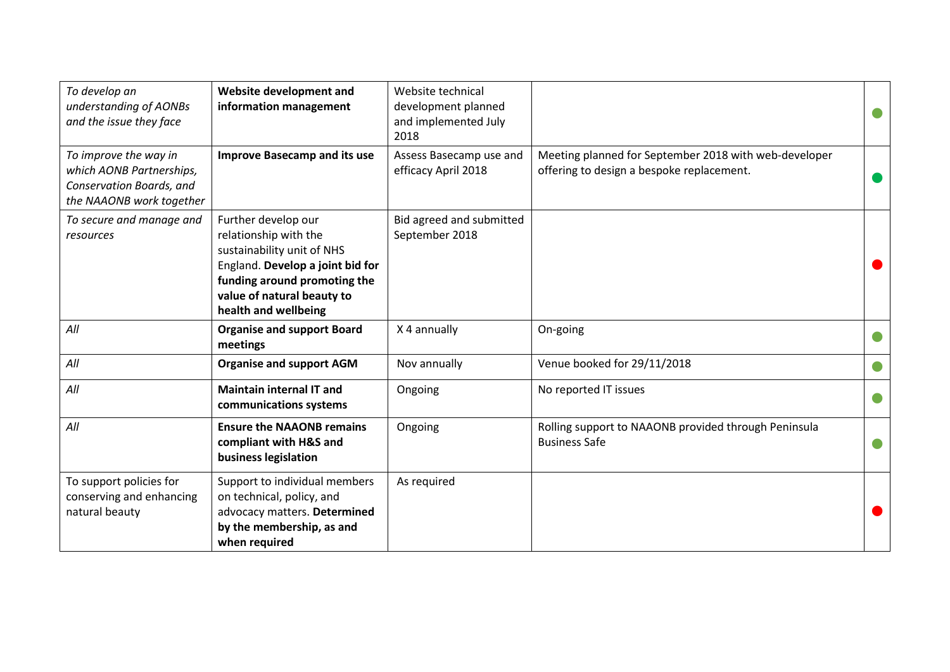| To develop an<br>understanding of AONBs<br>and the issue they face                                        | Website development and<br>information management                                                                                                                                                    | Website technical<br>development planned<br>and implemented July<br>2018 |                                                                                                    |  |
|-----------------------------------------------------------------------------------------------------------|------------------------------------------------------------------------------------------------------------------------------------------------------------------------------------------------------|--------------------------------------------------------------------------|----------------------------------------------------------------------------------------------------|--|
| To improve the way in<br>which AONB Partnerships,<br>Conservation Boards, and<br>the NAAONB work together | <b>Improve Basecamp and its use</b>                                                                                                                                                                  | Assess Basecamp use and<br>efficacy April 2018                           | Meeting planned for September 2018 with web-developer<br>offering to design a bespoke replacement. |  |
| To secure and manage and<br>resources                                                                     | Further develop our<br>relationship with the<br>sustainability unit of NHS<br>England. Develop a joint bid for<br>funding around promoting the<br>value of natural beauty to<br>health and wellbeing | Bid agreed and submitted<br>September 2018                               |                                                                                                    |  |
| All                                                                                                       | <b>Organise and support Board</b><br>meetings                                                                                                                                                        | X 4 annually                                                             | On-going                                                                                           |  |
| All                                                                                                       | <b>Organise and support AGM</b>                                                                                                                                                                      | Nov annually                                                             | Venue booked for 29/11/2018                                                                        |  |
| All                                                                                                       | <b>Maintain internal IT and</b><br>communications systems                                                                                                                                            | Ongoing                                                                  | No reported IT issues                                                                              |  |
| All                                                                                                       | <b>Ensure the NAAONB remains</b><br>compliant with H&S and<br>business legislation                                                                                                                   | Ongoing                                                                  | Rolling support to NAAONB provided through Peninsula<br><b>Business Safe</b>                       |  |
| To support policies for<br>conserving and enhancing<br>natural beauty                                     | Support to individual members<br>on technical, policy, and<br>advocacy matters. Determined<br>by the membership, as and<br>when required                                                             | As required                                                              |                                                                                                    |  |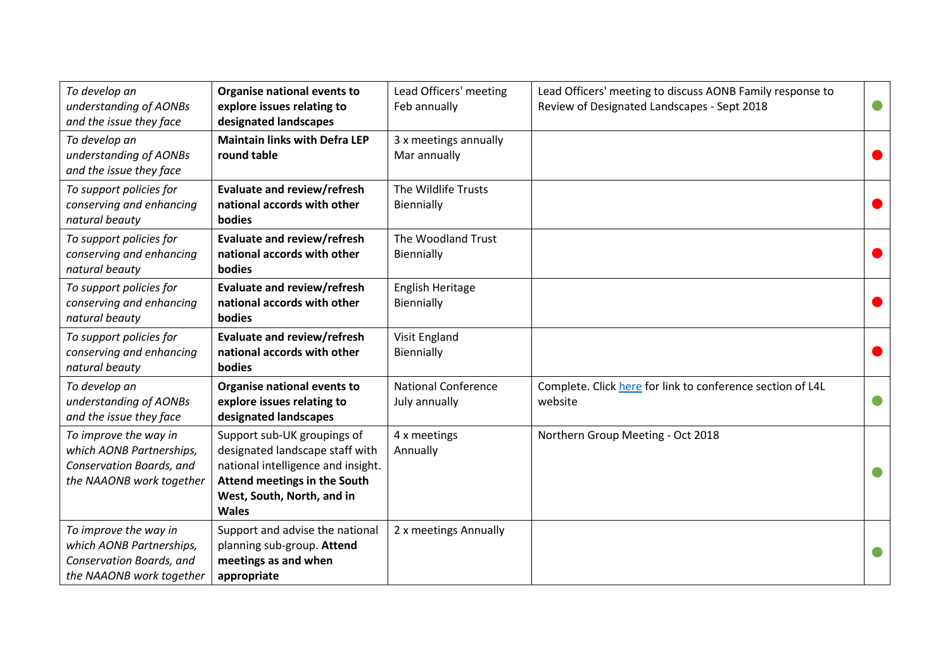| To develop an<br>understanding of AONBs<br>and the issue they face                                        | Organise national events to<br>explore issues relating to<br>designated landscapes                                                                                                 | Lead Officers' meeting<br>Feb annually      | Lead Officers' meeting to discuss AONB Family response to<br>Review of Designated Landscapes - Sept 2018 |  |
|-----------------------------------------------------------------------------------------------------------|------------------------------------------------------------------------------------------------------------------------------------------------------------------------------------|---------------------------------------------|----------------------------------------------------------------------------------------------------------|--|
| To develop an<br>understanding of AONBs<br>and the issue they face                                        | <b>Maintain links with Defra LEP</b><br>round table                                                                                                                                | 3 x meetings annually<br>Mar annually       |                                                                                                          |  |
| To support policies for<br>conserving and enhancing<br>natural beauty                                     | Evaluate and review/refresh<br>national accords with other<br>bodies                                                                                                               | The Wildlife Trusts<br>Biennially           |                                                                                                          |  |
| To support policies for<br>conserving and enhancing<br>natural beauty                                     | Evaluate and review/refresh<br>national accords with other<br>bodies                                                                                                               | The Woodland Trust<br>Biennially            |                                                                                                          |  |
| To support policies for<br>conserving and enhancing<br>natural beauty                                     | Evaluate and review/refresh<br>national accords with other<br>bodies                                                                                                               | English Heritage<br>Biennially              |                                                                                                          |  |
| To support policies for<br>conserving and enhancing<br>natural beauty                                     | Evaluate and review/refresh<br>national accords with other<br>bodies                                                                                                               | Visit England<br>Biennially                 |                                                                                                          |  |
| To develop an<br>understanding of AONBs<br>and the issue they face                                        | Organise national events to<br>explore issues relating to<br>designated landscapes                                                                                                 | <b>National Conference</b><br>July annually | Complete. Click here for link to conference section of L4L<br>website                                    |  |
| To improve the way in<br>which AONB Partnerships,<br>Conservation Boards, and<br>the NAAONB work together | Support sub-UK groupings of<br>designated landscape staff with<br>national intelligence and insight.<br>Attend meetings in the South<br>West, South, North, and in<br><b>Wales</b> | 4 x meetings<br>Annually                    | Northern Group Meeting - Oct 2018                                                                        |  |
| To improve the way in<br>which AONB Partnerships,<br>Conservation Boards, and<br>the NAAONB work together | Support and advise the national<br>planning sub-group. Attend<br>meetings as and when<br>appropriate                                                                               | 2 x meetings Annually                       |                                                                                                          |  |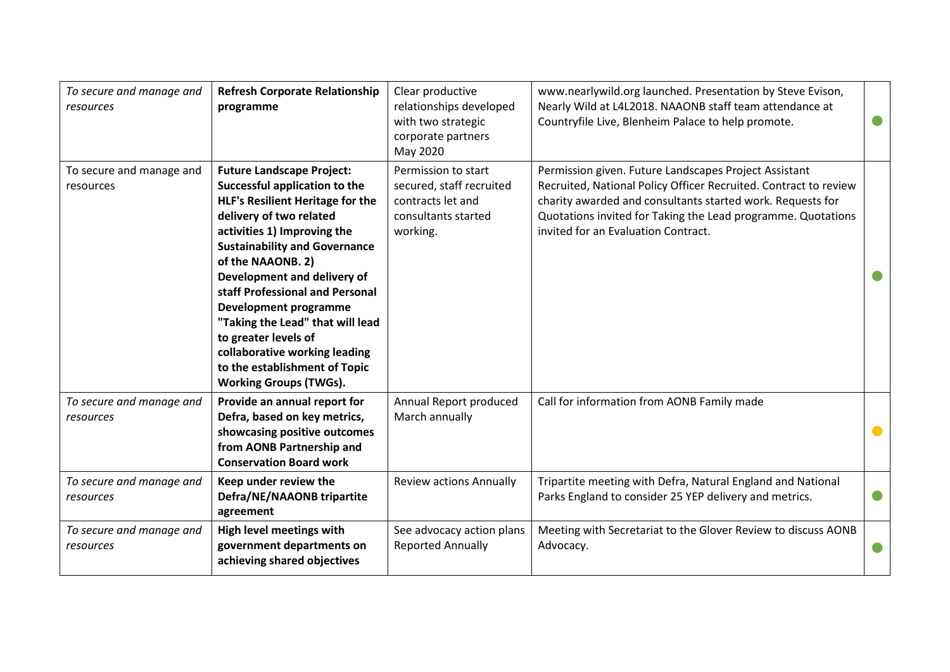| To secure and manage and<br>resources | <b>Refresh Corporate Relationship</b><br>programme                                                                                                                                                                                                                                                                                                                                                                                                                                                   | Clear productive<br>relationships developed<br>with two strategic<br>corporate partners<br>May 2020     | www.nearlywild.org launched. Presentation by Steve Evison,<br>Nearly Wild at L4L2018. NAAONB staff team attendance at<br>Countryfile Live, Blenheim Palace to help promote.                                                                                                                    |  |
|---------------------------------------|------------------------------------------------------------------------------------------------------------------------------------------------------------------------------------------------------------------------------------------------------------------------------------------------------------------------------------------------------------------------------------------------------------------------------------------------------------------------------------------------------|---------------------------------------------------------------------------------------------------------|------------------------------------------------------------------------------------------------------------------------------------------------------------------------------------------------------------------------------------------------------------------------------------------------|--|
| To secure and manage and<br>resources | <b>Future Landscape Project:</b><br>Successful application to the<br><b>HLF's Resilient Heritage for the</b><br>delivery of two related<br>activities 1) Improving the<br><b>Sustainability and Governance</b><br>of the NAAONB. 2)<br>Development and delivery of<br>staff Professional and Personal<br><b>Development programme</b><br>"Taking the Lead" that will lead<br>to greater levels of<br>collaborative working leading<br>to the establishment of Topic<br><b>Working Groups (TWGs).</b> | Permission to start<br>secured, staff recruited<br>contracts let and<br>consultants started<br>working. | Permission given. Future Landscapes Project Assistant<br>Recruited, National Policy Officer Recruited. Contract to review<br>charity awarded and consultants started work. Requests for<br>Quotations invited for Taking the Lead programme. Quotations<br>invited for an Evaluation Contract. |  |
| To secure and manage and<br>resources | Provide an annual report for<br>Defra, based on key metrics,<br>showcasing positive outcomes<br>from AONB Partnership and<br><b>Conservation Board work</b>                                                                                                                                                                                                                                                                                                                                          | Annual Report produced<br>March annually                                                                | Call for information from AONB Family made                                                                                                                                                                                                                                                     |  |
| To secure and manage and<br>resources | Keep under review the<br>Defra/NE/NAAONB tripartite<br>agreement                                                                                                                                                                                                                                                                                                                                                                                                                                     | <b>Review actions Annually</b>                                                                          | Tripartite meeting with Defra, Natural England and National<br>Parks England to consider 25 YEP delivery and metrics.                                                                                                                                                                          |  |
| To secure and manage and<br>resources | High level meetings with<br>government departments on<br>achieving shared objectives                                                                                                                                                                                                                                                                                                                                                                                                                 | See advocacy action plans<br><b>Reported Annually</b>                                                   | Meeting with Secretariat to the Glover Review to discuss AONB<br>Advocacy.                                                                                                                                                                                                                     |  |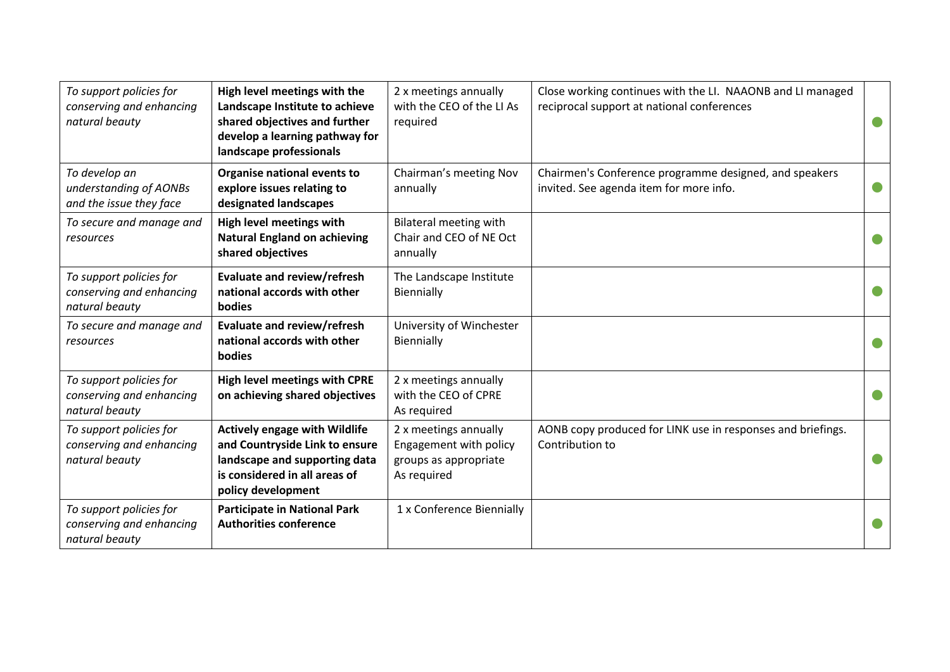| To support policies for<br>conserving and enhancing<br>natural beauty | High level meetings with the<br>Landscape Institute to achieve<br>shared objectives and further<br>develop a learning pathway for<br>landscape professionals   | 2 x meetings annually<br>with the CEO of the LI As<br>required                          | Close working continues with the LI. NAAONB and LI managed<br>reciprocal support at national conferences |           |
|-----------------------------------------------------------------------|----------------------------------------------------------------------------------------------------------------------------------------------------------------|-----------------------------------------------------------------------------------------|----------------------------------------------------------------------------------------------------------|-----------|
| To develop an<br>understanding of AONBs<br>and the issue they face    | Organise national events to<br>explore issues relating to<br>designated landscapes                                                                             | Chairman's meeting Nov<br>annually                                                      | Chairmen's Conference programme designed, and speakers<br>invited. See agenda item for more info.        | $\bullet$ |
| To secure and manage and<br>resources                                 | High level meetings with<br><b>Natural England on achieving</b><br>shared objectives                                                                           | <b>Bilateral meeting with</b><br>Chair and CEO of NE Oct<br>annually                    |                                                                                                          |           |
| To support policies for<br>conserving and enhancing<br>natural beauty | Evaluate and review/refresh<br>national accords with other<br>bodies                                                                                           | The Landscape Institute<br>Biennially                                                   |                                                                                                          |           |
| To secure and manage and<br>resources                                 | Evaluate and review/refresh<br>national accords with other<br><b>bodies</b>                                                                                    | University of Winchester<br>Biennially                                                  |                                                                                                          |           |
| To support policies for<br>conserving and enhancing<br>natural beauty | <b>High level meetings with CPRE</b><br>on achieving shared objectives                                                                                         | 2 x meetings annually<br>with the CEO of CPRE<br>As required                            |                                                                                                          |           |
| To support policies for<br>conserving and enhancing<br>natural beauty | <b>Actively engage with Wildlife</b><br>and Countryside Link to ensure<br>landscape and supporting data<br>is considered in all areas of<br>policy development | 2 x meetings annually<br>Engagement with policy<br>groups as appropriate<br>As required | AONB copy produced for LINK use in responses and briefings.<br>Contribution to                           |           |
| To support policies for<br>conserving and enhancing<br>natural beauty | <b>Participate in National Park</b><br><b>Authorities conference</b>                                                                                           | 1 x Conference Biennially                                                               |                                                                                                          |           |